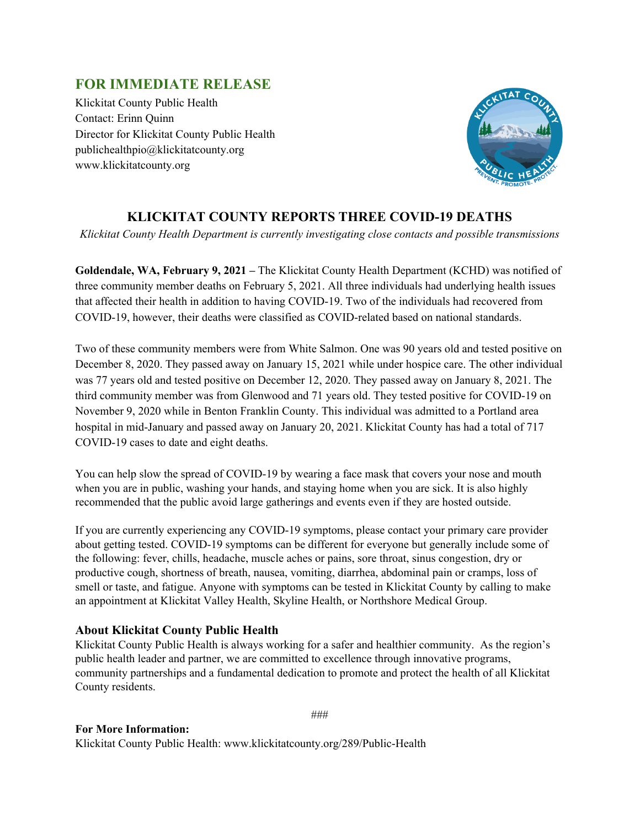## **FOR IMMEDIATE RELEASE**

Klickitat County Public Health Contact: Erinn Quinn Director for Klickitat County Public Health publichealthpio@klickitatcounty.org www.klickitatcounty.org



## **KLICKITAT COUNTY REPORTS THREE COVID-19 DEATHS**

*Klickitat County Health Department is currently investigating close contacts and possible transmissions*

**Goldendale, WA, February 9, 2021 –** The Klickitat County Health Department (KCHD) was notified of three community member deaths on February 5, 2021. All three individuals had underlying health issues that affected their health in addition to having COVID-19. Two of the individuals had recovered from COVID-19, however, their deaths were classified as COVID-related based on national standards.

Two of these community members were from White Salmon. One was 90 years old and tested positive on December 8, 2020. They passed away on January 15, 2021 while under hospice care. The other individual was 77 years old and tested positive on December 12, 2020. They passed away on January 8, 2021. The third community member was from Glenwood and 71 years old. They tested positive for COVID-19 on November 9, 2020 while in Benton Franklin County. This individual was admitted to a Portland area hospital in mid-January and passed away on January 20, 2021. Klickitat County has had a total of 717 COVID-19 cases to date and eight deaths.

You can help slow the spread of COVID-19 by wearing a face mask that covers your nose and mouth when you are in public, washing your hands, and staying home when you are sick. It is also highly recommended that the public avoid large gatherings and events even if they are hosted outside.

If you are currently experiencing any COVID-19 symptoms, please contact your primary care provider about getting tested. COVID-19 symptoms can be different for everyone but generally include some of the following: fever, chills, headache, muscle aches or pains, sore throat, sinus congestion, dry or productive cough, shortness of breath, nausea, vomiting, diarrhea, abdominal pain or cramps, loss of smell or taste, and fatigue. Anyone with symptoms can be tested in Klickitat County by calling to make an appointment at Klickitat Valley Health, Skyline Health, or Northshore Medical Group.

## **About Klickitat County Public Health**

Klickitat County Public Health is always working for a safer and healthier community. As the region's public health leader and partner, we are committed to excellence through innovative programs, community partnerships and a fundamental dedication to promote and protect the health of all Klickitat County residents.

```
###
```
## **For More Information:**

Klickitat County Public Health: www.klickitatcounty.org/289/Public-Health